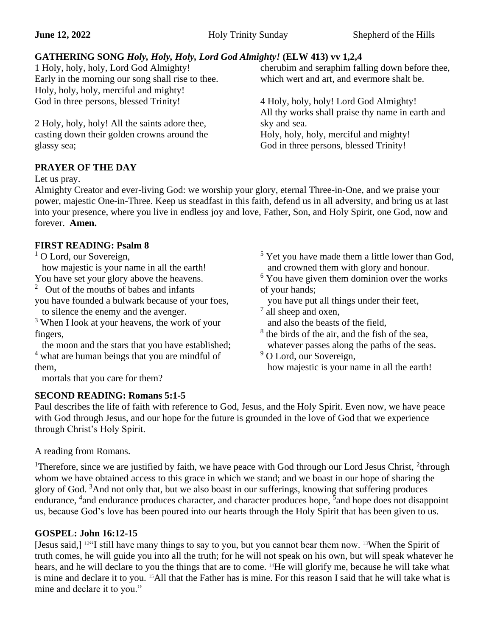#### **GATHERING SONG** *Holy, Holy, Holy, Lord God Almighty!* **(ELW 413) vv 1,2,4** cherubim and seraphim falling down before thee,

1 Holy, holy, holy, Lord God Almighty! Early in the morning our song shall rise to thee. Holy, holy, holy, merciful and mighty! God in three persons, blessed Trinity!

2 Holy, holy, holy! All the saints adore thee, casting down their golden crowns around the glassy sea;

**PRAYER OF THE DAY**

Let us pray.

Almighty Creator and ever-living God: we worship your glory, eternal Three-in-One, and we praise your power, majestic One-in-Three. Keep us steadfast in this faith, defend us in all adversity, and bring us at last into your presence, where you live in endless joy and love, Father, Son, and Holy Spirit, one God, now and forever. **Amen.**

## **FIRST READING: Psalm 8**

<sup>1</sup> O Lord, our Sovereign,

how majestic is your name in all the earth!

You have set your glory above the heavens. <sup>2</sup> Out of the mouths of babes and infants

you have founded a bulwark because of your foes, to silence the enemy and the avenger.

<sup>3</sup> When I look at your heavens, the work of your fingers,

 the moon and the stars that you have established; <sup>4</sup> what are human beings that you are mindful of them,

mortals that you care for them?

## **SECOND READING: Romans 5:1-5**

<sup>5</sup> Yet you have made them a little lower than God, and crowned them with glory and honour.  $6$  You have given them dominion over the works

of your hands;

- you have put all things under their feet,
- <sup>7</sup> all sheep and oxen,
- and also the beasts of the field,
- <sup>8</sup> the birds of the air, and the fish of the sea, whatever passes along the paths of the seas.
- <sup>9</sup> O Lord, our Sovereign, how majestic is your name in all the earth!

Paul describes the life of faith with reference to God, Jesus, and the Holy Spirit. Even now, we have peace with God through Jesus, and our hope for the future is grounded in the love of God that we experience through Christ's Holy Spirit.

A reading from Romans.

<sup>1</sup>Therefore, since we are justified by faith, we have peace with God through our Lord Jesus Christ,  $2$ <sup>1</sup>through whom we have obtained access to this grace in which we stand; and we boast in our hope of sharing the glory of God. <sup>3</sup>And not only that, but we also boast in our sufferings, knowing that suffering produces endurance, <sup>4</sup> and endurance produces character, and character produces hope, <sup>5</sup> and hope does not disappoint us, because God's love has been poured into our hearts through the Holy Spirit that has been given to us.

# **GOSPEL: John 16:12-15**

[Jesus said,] 12"I still have many things to say to you, but you cannot bear them now. 13When the Spirit of truth comes, he will guide you into all the truth; for he will not speak on his own, but will speak whatever he hears, and he will declare to you the things that are to come. 14He will glorify me, because he will take what is mine and declare it to you. 15All that the Father has is mine. For this reason I said that he will take what is mine and declare it to you."

4 Holy, holy, holy! Lord God Almighty! All thy works shall praise thy name in earth and sky and sea. Holy, holy, holy, merciful and mighty!

which wert and art, and evermore shalt be.

God in three persons, blessed Trinity!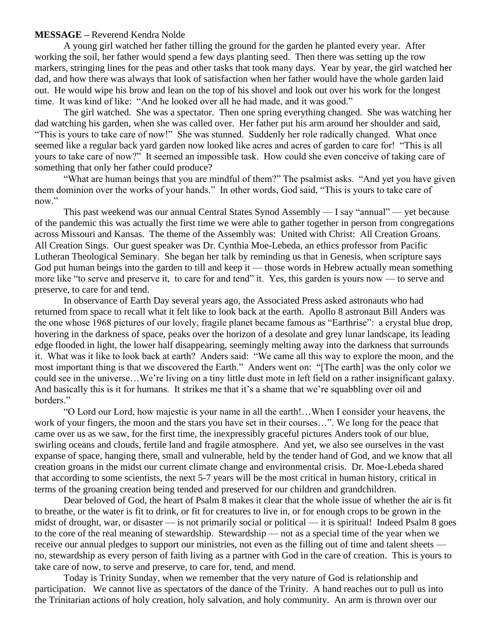#### **MESSAGE –** Reverend Kendra Nolde

A young girl watched her father tilling the ground for the garden he planted every year. After working the soil, her father would spend a few days planting seed. Then there was setting up the row markers, stringing lines for the peas and other tasks that took many days. Year by year, the girl watched her dad, and how there was always that look of satisfaction when her father would have the whole garden laid out. He would wipe his brow and lean on the top of his shovel and look out over his work for the longest time. It was kind of like: "And he looked over all he had made, and it was good."

The girl watched. She was a spectator. Then one spring everything changed. She was watching her dad watching his garden, when she was called over. Her father put his arm around her shoulder and said, "This is yours to take care of now!" She was stunned. Suddenly her role radically changed. What once seemed like a regular back yard garden now looked like acres and acres of garden to care for! "This is all yours to take care of now?" It seemed an impossible task. How could she even conceive of taking care of something that only her father could produce?

"What are human beings that you are mindful of them?" The psalmist asks. "And yet you have given them dominion over the works of your hands." In other words, God said, "This is yours to take care of now."

This past weekend was our annual Central States Synod Assembly — I say "annual" — yet because of the pandemic this was actually the first time we were able to gather together in person from congregations across Missouri and Kansas. The theme of the Assembly was: United with Christ: All Creation Groans. All Creation Sings. Our guest speaker was Dr. Cynthia Moe-Lebeda, an ethics professor from Pacific Lutheran Theological Seminary. She began her talk by reminding us that in Genesis, when scripture says God put human beings into the garden to till and keep it — those words in Hebrew actually mean something more like "to serve and preserve it, to care for and tend" it. Yes, this garden is yours now — to serve and preserve, to care for and tend.

In observance of Earth Day several years ago, the Associated Press asked astronauts who had returned from space to recall what it felt like to look back at the earth. Apollo 8 astronaut Bill Anders was the one whose 1968 pictures of our lovely, fragile planet became famous as "Earthrise": a crystal blue drop, hovering in the darkness of space, peaks over the horizon of a desolate and grey lunar landscape, its leading edge flooded in light, the lower half disappearing, seemingly melting away into the darkness that surrounds it. What was it like to look back at earth? Anders said: "We came all this way to explore the moon, and the most important thing is that we discovered the Earth." Anders went on: "[The earth] was the only color we could see in the universe…We're living on a tiny little dust mote in left field on a rather insignificant galaxy. And basically this is it for humans. It strikes me that it's a shame that we're squabbling over oil and borders."

"O Lord our Lord, how majestic is your name in all the earth!…When I consider your heavens, the work of your fingers, the moon and the stars you have set in their courses…". We long for the peace that came over us as we saw, for the first time, the inexpressibly graceful pictures Anders took of our blue, swirling oceans and clouds, fertile land and fragile atmosphere. And yet, we also see ourselves in the vast expanse of space, hanging there, small and vulnerable, held by the tender hand of God, and we know that all creation groans in the midst our current climate change and environmental crisis. Dr. Moe-Lebeda shared that according to some scientists, the next 5-7 years will be the most critical in human history, critical in terms of the groaning creation being tended and preserved for our children and grandchildren.

Dear beloved of God, the heart of Psalm 8 makes it clear that the whole issue of whether the air is fit to breathe, or the water is fit to drink, or fit for creatures to live in, or for enough crops to be grown in the midst of drought, war, or disaster — is not primarily social or political — it is spiritual! Indeed Psalm 8 goes to the core of the real meaning of stewardship. Stewardship — not as a special time of the year when we receive our annual pledges to support our ministries, not even as the filling out of time and talent sheets no, stewardship as every person of faith living as a partner with God in the care of creation. This is yours to take care of now, to serve and preserve, to care for, tend, and mend.

Today is Trinity Sunday, when we remember that the very nature of God is relationship and participation. We cannot live as spectators of the dance of the Trinity. A hand reaches out to pull us into the Trinitarian actions of holy creation, holy salvation, and holy community. An arm is thrown over our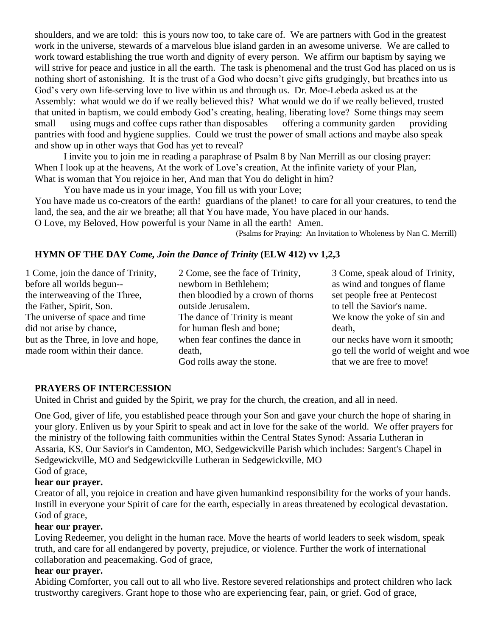shoulders, and we are told: this is yours now too, to take care of. We are partners with God in the greatest work in the universe, stewards of a marvelous blue island garden in an awesome universe. We are called to work toward establishing the true worth and dignity of every person. We affirm our baptism by saying we will strive for peace and justice in all the earth. The task is phenomenal and the trust God has placed on us is nothing short of astonishing. It is the trust of a God who doesn't give gifts grudgingly, but breathes into us God's very own life-serving love to live within us and through us. Dr. Moe-Lebeda asked us at the Assembly: what would we do if we really believed this? What would we do if we really believed, trusted that united in baptism, we could embody God's creating, healing, liberating love? Some things may seem small — using mugs and coffee cups rather than disposables — offering a community garden — providing pantries with food and hygiene supplies. Could we trust the power of small actions and maybe also speak and show up in other ways that God has yet to reveal?

I invite you to join me in reading a paraphrase of Psalm 8 by Nan Merrill as our closing prayer: When I look up at the heavens, At the work of Love's creation, At the infinite variety of your Plan, What is woman that You rejoice in her, And man that You do delight in him?

You have made us in your image, You fill us with your Love; You have made us co-creators of the earth! guardians of the planet! to care for all your creatures, to tend the land, the sea, and the air we breathe; all that You have made, You have placed in our hands. O Love, my Beloved, How powerful is your Name in all the earth! Amen.

(Psalms for Praying: An Invitation to Wholeness by Nan C. Merrill)

## **HYMN OF THE DAY** *Come, Join the Dance of Trinity* **(ELW 412) vv 1,2,3**

| 1 Come, join the dance of Trinity,  | 2 Come, see the face of Trinity,   | 3 Come, speak aloud of Trinity,     |
|-------------------------------------|------------------------------------|-------------------------------------|
| before all worlds begun--           | newborn in Bethlehem;              | as wind and tongues of flame        |
| the interweaving of the Three,      | then bloodied by a crown of thorns | set people free at Pentecost        |
| the Father, Spirit, Son.            | outside Jerusalem.                 | to tell the Savior's name.          |
| The universe of space and time      | The dance of Trinity is meant      | We know the yoke of sin and         |
| did not arise by chance,            | for human flesh and bone;          | death,                              |
| but as the Three, in love and hope, | when fear confines the dance in    | our necks have worn it smooth;      |
| made room within their dance.       | death,                             | go tell the world of weight and woe |
|                                     | God rolls away the stone.          | that we are free to move!           |

#### **PRAYERS OF INTERCESSION**

United in Christ and guided by the Spirit, we pray for the church, the creation, and all in need.

One God, giver of life, you established peace through your Son and gave your church the hope of sharing in your glory. Enliven us by your Spirit to speak and act in love for the sake of the world. We offer prayers for the ministry of the following faith communities within the Central States Synod: Assaria Lutheran in Assaria, KS, Our Savior's in Camdenton, MO, Sedgewickville Parish which includes: Sargent's Chapel in Sedgewickville, MO and Sedgewickville Lutheran in Sedgewickville, MO God of grace,

#### **hear our prayer.**

Creator of all, you rejoice in creation and have given humankind responsibility for the works of your hands. Instill in everyone your Spirit of care for the earth, especially in areas threatened by ecological devastation. God of grace,

#### **hear our prayer.**

Loving Redeemer, you delight in the human race. Move the hearts of world leaders to seek wisdom, speak truth, and care for all endangered by poverty, prejudice, or violence. Further the work of international collaboration and peacemaking. God of grace,

## **hear our prayer.**

Abiding Comforter, you call out to all who live. Restore severed relationships and protect children who lack trustworthy caregivers. Grant hope to those who are experiencing fear, pain, or grief. God of grace,